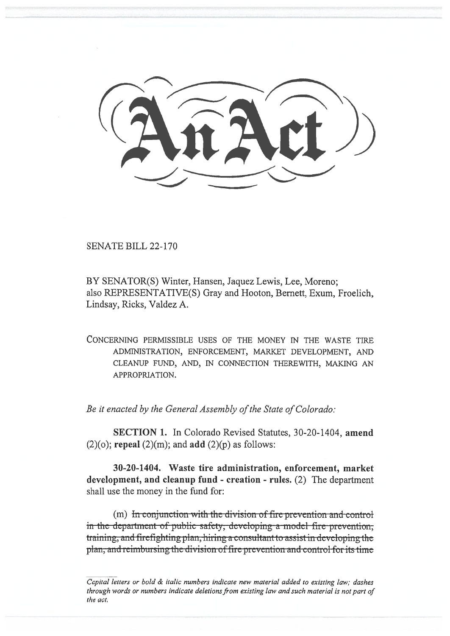SENATE BILL 22-170

BY SENATOR(S) Winter, Hansen, Jaquez Lewis, Lee, Moreno; also REPRESENTATIVE(S) Gray and Hooton, Bernett, Exum, Froelich, Lindsay, Ricks, Valdez A.

CONCERNING PERMISSIBLE USES OF THE MONEY IN THE WASTE TIRE ADMINISTRATION, ENFORCEMENT, MARKET DEVELOPMENT, AND CLEANUP FUND, AND, IN CONNECTION THEREWITH, MAKING AN APPROPRIATION.

Be it enacted by the General Assembly of the State of Colorado:

SECTION 1. In Colorado Revised Statutes, 30-20-1404, amend  $(2)(o)$ ; repeal  $(2)(m)$ ; and add  $(2)(p)$  as follows:

30-20-1404. Waste tire administration, enforcement, market development, and cleanup fund - creation - rules. (2) The department shall use the money in the fund for:

 $(m)$  In conjunction with the division of fire prevention and control in the department-of-public safety, developing a model fire-prevention. training, and firefighting plan, hiring a consultant to assist in developing the plan, and reimbursing the division of fire prevention and control-for its time

Capital letters or bold & italic numbers indicate new material added to existing law; dashes through words or numbers indicate deletions from existing law and such material is not part of the act.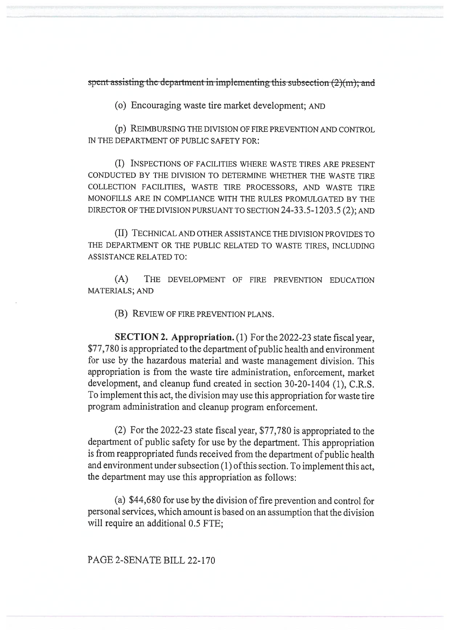spent assisting the department in implementing this subsection  $(2)(m)$ ; and

(o) Encouraging waste tire market development; AND

(p) REIMBURSING THE DIVISION OF FIRE PREVENTION AND CONTROL IN THE DEPARTMENT OF PUBLIC SAFETY FOR:

(I) INSPECTIONS OF FACILITIES WHERE WASTE TIRES ARE PRESENT CONDUCTED BY THE DIVISION TO DETERMINE WHETHER THE WASTE TIRE COLLECTION FACILITIES, WASTE TIRE PROCESSORS, AND WASTE TIRE MONOFILLS ARE IN COMPLIANCE WITH THE RULES PROMULGATED BY THE DIRECTOR OF THE DIVISION PURSUANT TO SECTION 24-33.5-1203.5 (2); AND

(II) TECHNICAL AND OTHER ASSISTANCE THE DIVISION PROVIDES TO THE DEPARTMENT OR THE PUBLIC RELATED TO WASTE TIRES, INCLUDING ASSISTANCE RELATED TO:

(A) THE DEVELOPMENT OF FIRE PREVENTION EDUCATION MATERIALS; AND

(B) REVIEW OF FIRE PREVENTION PLANS.

SECTION 2. Appropriation. (1) For the 2022-23 state fiscal year, \$77,780 is appropriated to the department of public health and environment for use by the hazardous material and waste management division. This appropriation is from the waste tire administration, enforcement, market development, and cleanup fund created in section 30-20-1404 (1), C.R.S. To implement this act, the division may use this appropriation for waste tire program administration and cleanup program enforcement.

(2) For the 2022-23 state fiscal year, \$77,780 is appropriated to the department of public safety for use by the department. This appropriation is from reappropriated funds received from the department of public health and environment under subsection (1) of this section. To implement this act, the department may use this appropriation as follows:

(a) \$44,680 for use by the division of fire prevention and control for personal services, which amount is based on an assumption that the division will require an additional 0.5 FTE;

PAGE 2-SENATE BILL 22-170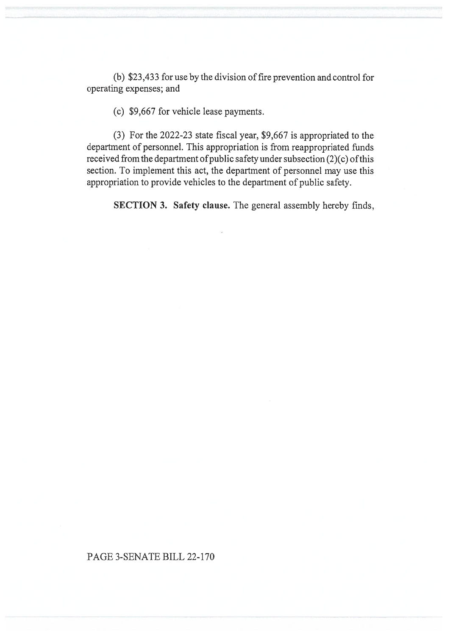(b) \$23,433 for use by the division of fire prevention and control for operating expenses; and

(c) \$9,667 for vehicle lease payments.

(3) For the 2022-23 state fiscal year, \$9,667 is appropriated to the department of personnel. This appropriation is from reappropriated funds received from the department of public safety under subsection (2)(c) of this section. To implement this act, the department of personnel may use this appropriation to provide vehicles to the department of public safety.

SECTION 3. Safety clause. The general assembly hereby finds,

## PAGE 3-SENATE BILL 22-170